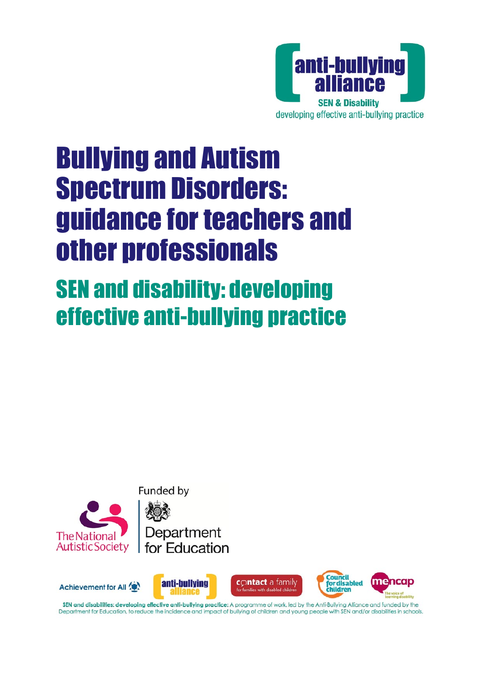

# Bullying and Autism Spectrum Disorders: guidance for teachers and other professionals

# SEN and disability: developing effective anti-bullying practice





SEN and disabilities: developing effective anti-bullying practice: A programme of work, led by the Anti-Bullying Alliance and funded by the Department for Education, to reduce the incidence and impact of bullying of children and young people with SEN and/or disabilities in schools.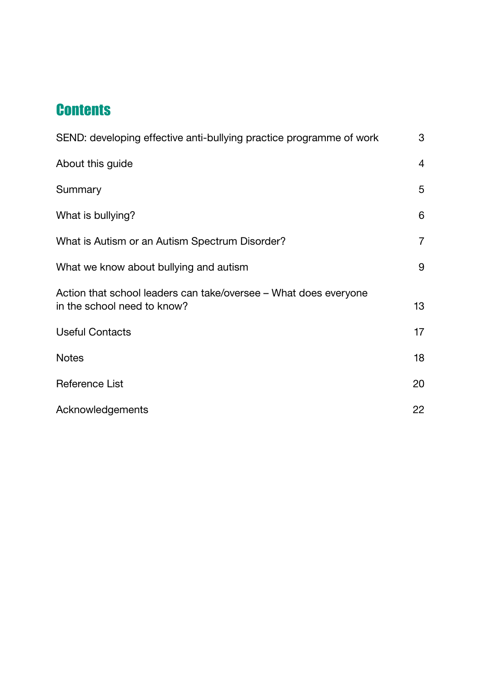# **Contents**

| SEND: developing effective anti-bullying practice programme of work                             | 3              |
|-------------------------------------------------------------------------------------------------|----------------|
| About this guide                                                                                | 4              |
| Summary                                                                                         | 5              |
| What is bullying?                                                                               | 6              |
| What is Autism or an Autism Spectrum Disorder?                                                  | $\overline{7}$ |
| What we know about bullying and autism                                                          | 9              |
| Action that school leaders can take/oversee - What does everyone<br>in the school need to know? | 13             |
| <b>Useful Contacts</b>                                                                          | 17             |
| <b>Notes</b>                                                                                    | 18             |
| <b>Reference List</b>                                                                           | 20             |
| Acknowledgements                                                                                | 22             |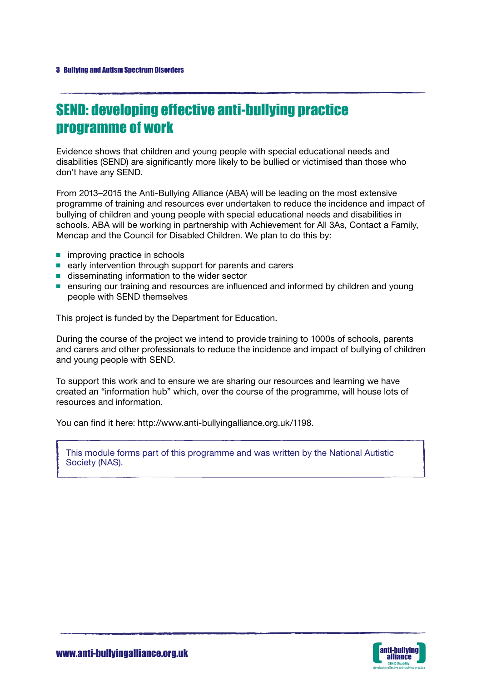# SEND: developing effective anti-bullying practice programme of work

Evidence shows that children and young people with special educational needs and disabilities (SEND) are significantly more likely to be bullied or victimised than those who don't have any SEND.

From 2013–2015 the Anti-Bullying Alliance (ABA) will be leading on the most extensive programme of training and resources ever undertaken to reduce the incidence and impact of bullying of children and young people with special educational needs and disabilities in schools. ABA will be working in partnership with Achievement for All 3As, Contact a Family, Mencap and the Council for Disabled Children. We plan to do this by:

- improving practice in schools
- early intervention through support for parents and carers
- disseminating information to the wider sector
- ensuring our training and resources are influenced and informed by children and young people with SEND themselves

This project is funded by the [Department for Education.](http://www.education.gov.uk)

During the course of the project we intend to provide training to 1000s of schools, parents and carers and other professionals to reduce the incidence and impact of bullying of children and young people with SEND.

To support this work and to ensure we are sharing our resources and learning we have created an ["information hub"](http://www.anti-bullyingalliance.org.uk/1198) which, over the course of the programme, will house lots of resources and information.

You can find it here: http://www.anti-bullyingalliance.org.uk/1198.

This module forms part of this programme and was written by the National Autistic Society (NAS).

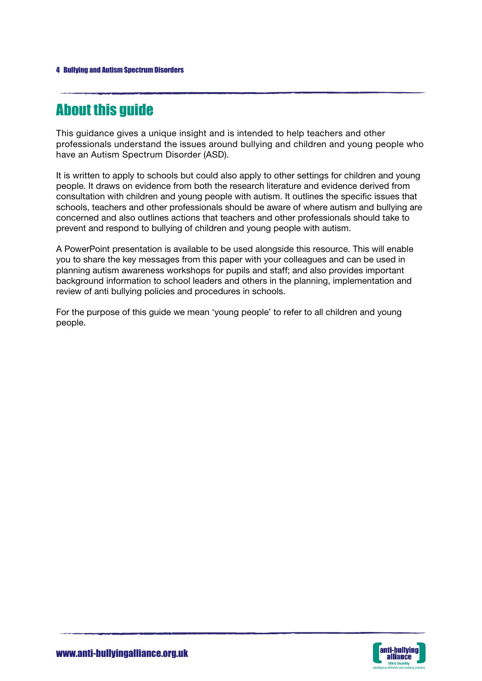# About this guide

This guidance gives a unique insight and is intended to help teachers and other professionals understand the issues around bullying and children and young people who have an Autism Spectrum Disorder (ASD).

It is written to apply to schools but could also apply to other settings for children and young people. It draws on evidence from both the research literature and evidence derived from consultation with children and young people with autism. It outlines the specific issues that schools, teachers and other professionals should be aware of where autism and bullying are concerned and also outlines actions that teachers and other professionals should take to prevent and respond to bullying of children and young people with autism.

A PowerPoint presentation is available to be used alongside this resource. This will enable you to share the key messages from this paper with your colleagues and can be used in planning autism awareness workshops for pupils and staff; and also provides important background information to school leaders and others in the planning, implementation and review of anti bullying policies and procedures in schools.

For the purpose of this guide we mean 'young people' to refer to all children and young people.

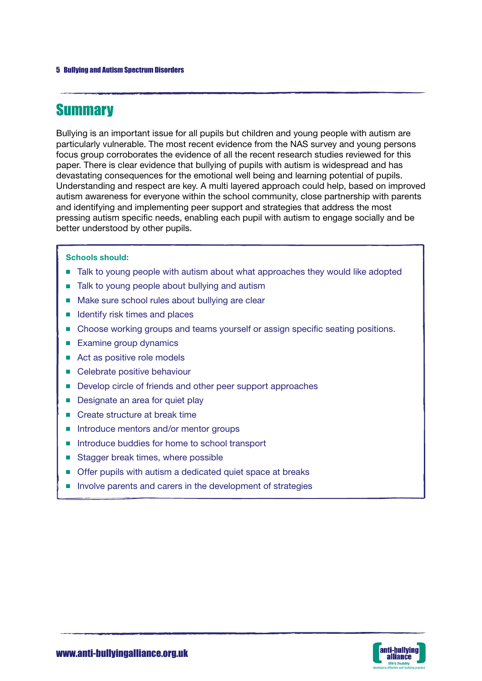# **Summary**

Bullying is an important issue for all pupils but children and young people with autism are particularly vulnerable. The most recent evidence from the NAS survey and young persons focus group corroborates the evidence of all the recent research studies reviewed for this paper. There is clear evidence that bullying of pupils with autism is widespread and has devastating consequences for the emotional well being and learning potential of pupils. Understanding and respect are key. A multi layered approach could help, based on improved autism awareness for everyone within the school community, close partnership with parents and identifying and implementing peer support and strategies that address the most pressing autism specific needs, enabling each pupil with autism to engage socially and be better understood by other pupils.

### Schools should:

- Talk to young people with autism about what approaches they would like adopted
- Talk to young people about bullying and autism
- Make sure school rules about bullying are clear
- Identify risk times and places
- Choose working groups and teams yourself or assign specific seating positions.
- Examine group dynamics
- Act as positive role models
- Celebrate positive behaviour
- Develop circle of friends and other peer support approaches
- Designate an area for quiet play
- Create structure at break time
- Introduce mentors and/or mentor groups
- Introduce buddies for home to school transport
- Stagger break times, where possible
- Offer pupils with autism a dedicated quiet space at breaks
- Involve parents and carers in the development of strategies

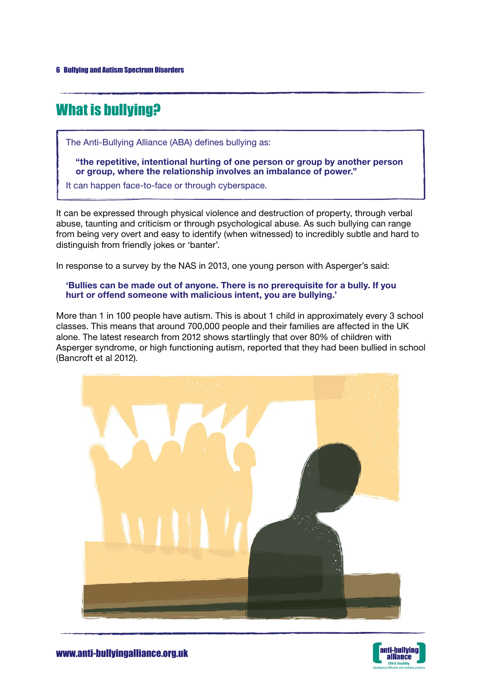# What is bullying?

The Anti-Bullying Alliance (ABA) defines bullying as:

"the repetitive, intentional hurting of one person or group by another person or group, where the relationship involves an imbalance of power."

It can happen face-to-face or through cyberspace.

It can be expressed through physical violence and destruction of property, through verbal abuse, taunting and criticism or through psychological abuse. As such bullying can range from being very overt and easy to identify (when witnessed) to incredibly subtle and hard to distinguish from friendly jokes or 'banter'.

In response to a survey by the NAS in 2013, one young person with Asperger's said:

### 'Bullies can be made out of anyone. There is no prerequisite for a bully. If you hurt or offend someone with malicious intent, you are bullying.'

More than 1 in 100 people have autism. This is about 1 child in approximately every 3 school classes. This means that around 700,000 people and their families are affected in the UK alone. The latest research from 2012 shows startlingly that over 80% of children with Asperger syndrome, or high functioning autism, reported that they had been bullied in school (Bancroft et al 2012).



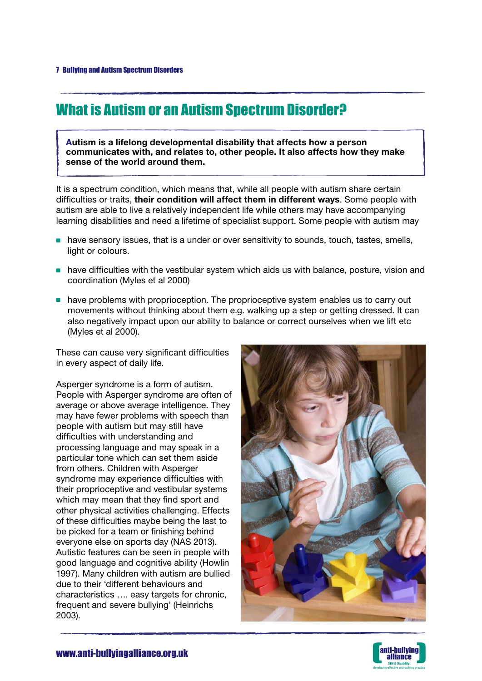# What is Autism or an Autism Spectrum Disorder?

Autism is a lifelong developmental disability that affects how a person communicates with, and relates to, other people. It also affects how they make sense of the world around them.

It is a spectrum condition, which means that, while all people with autism share certain difficulties or traits, their condition will affect them in different ways. Some people with autism are able to live a relatively independent life while others may have accompanying learning disabilities and need a lifetime of specialist support. Some people with autism may

- have sensory issues, that is a under or over sensitivity to sounds, touch, tastes, smells, light or colours.
- have difficulties with the vestibular system which aids us with balance, posture, vision and coordination (Myles et al 2000)
- have problems with proprioception. The proprioceptive system enables us to carry out movements without thinking about them e.g. walking up a step or getting dressed. It can also negatively impact upon our ability to balance or correct ourselves when we lift etc (Myles et al 2000).

These can cause very significant difficulties in every aspect of daily life.

Asperger syndrome is a form of autism. People with Asperger syndrome are often of average or above average intelligence. They may have fewer problems with speech than people with autism but may still have difficulties with understanding and processing language and may speak in a particular tone which can set them aside from others. Children with Asperger syndrome may experience difficulties with their proprioceptive and vestibular systems which may mean that they find sport and other physical activities challenging. Effects of these difficulties maybe being the last to be picked for a team or finishing behind everyone else on sports day (NAS 2013). Autistic features can be seen in people with good language and cognitive ability (Howlin 1997). Many children with autism are bullied due to their 'different behaviours and characteristics …. easy targets for chronic, frequent and severe bullying' (Heinrichs 2003).



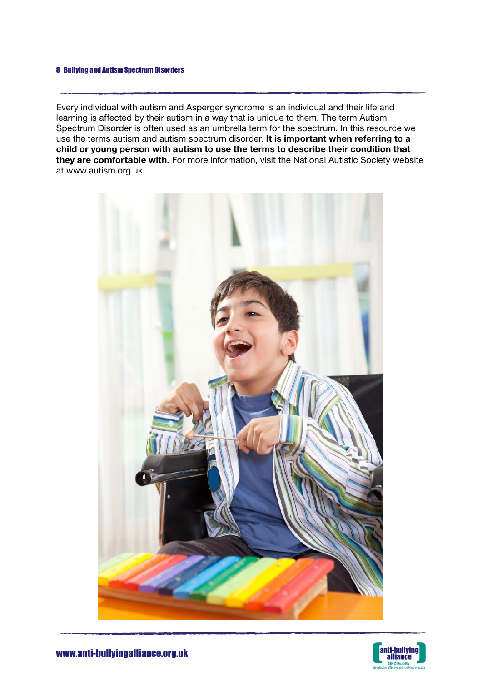Every individual with autism and Asperger syndrome is an individual and their life and learning is affected by their autism in a way that is unique to them. The term Autism Spectrum Disorder is often used as an umbrella term for the spectrum. In this resource we use the terms autism and autism spectrum disorder. It is important when referring to a child or young person with autism to use the terms to describe their condition that they are comfortable with. For more information, visit the National Autistic Society website at www.autism.org.uk.



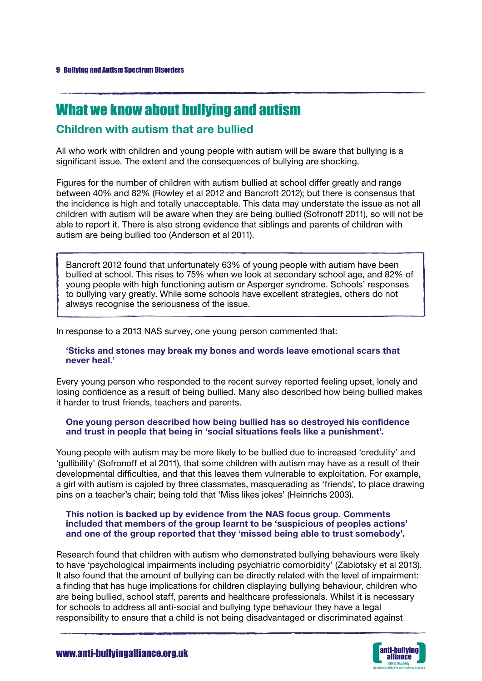# What we know about bullying and autism

# Children with autism that are bullied

All who work with children and young people with autism will be aware that bullying is a significant issue. The extent and the consequences of bullying are shocking.

Figures for the number of children with autism bullied at school differ greatly and range between 40% and 82% (Rowley et al 2012 and Bancroft 2012); but there is consensus that the incidence is high and totally unacceptable. This data may understate the issue as not all children with autism will be aware when they are being bullied (Sofronoff 2011), so will not be able to report it. There is also strong evidence that siblings and parents of children with autism are being bullied too (Anderson et al 2011).

Bancroft 2012 found that unfortunately 63% of young people with autism have been bullied at school. This rises to 75% when we look at secondary school age, and 82% of young people with high functioning autism or Asperger syndrome. Schools' responses to bullying vary greatly. While some schools have excellent strategies, others do not always recognise the seriousness of the issue.

In response to a 2013 NAS survey, one young person commented that:

### 'Sticks and stones may break my bones and words leave emotional scars that never heal.'

Every young person who responded to the recent survey reported feeling upset, lonely and losing confidence as a result of being bullied. Many also described how being bullied makes it harder to trust friends, teachers and parents.

### One young person described how being bullied has so destroyed his confidence and trust in people that being in 'social situations feels like a punishment'.

Young people with autism may be more likely to be bullied due to increased 'credulity' and 'gullibility' (Sofronoff et al 2011), that some children with autism may have as a result of their developmental difficulties, and that this leaves them vulnerable to exploitation. For example, a girl with autism is cajoled by three classmates, masquerading as 'friends', to place drawing pins on a teacher's chair; being told that 'Miss likes jokes' (Heinrichs 2003).

#### This notion is backed up by evidence from the NAS focus group. Comments included that members of the group learnt to be 'suspicious of peoples actions' and one of the group reported that they 'missed being able to trust somebody'.

Research found that children with autism who demonstrated bullying behaviours were likely to have 'psychological impairments including psychiatric comorbidity' (Zablotsky et al 2013). It also found that the amount of bullying can be directly related with the level of impairment: a finding that has huge implications for children displaying bullying behaviour, children who are being bullied, school staff, parents and healthcare professionals. Whilst it is necessary for schools to address all anti-social and bullying type behaviour they have a legal responsibility to ensure that a child is not being disadvantaged or discriminated against

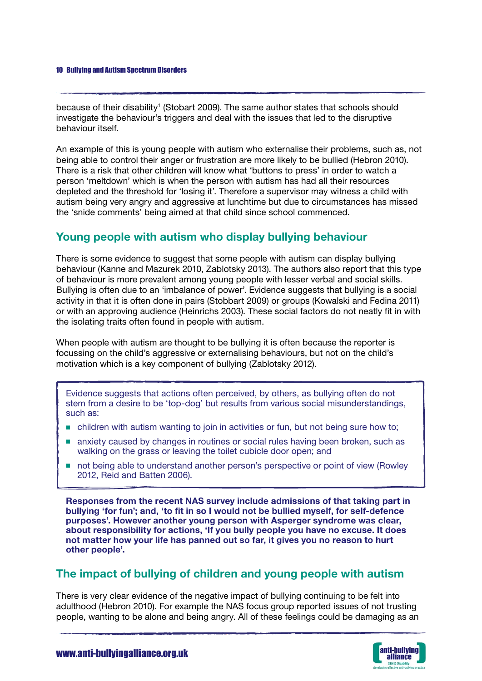because of their disability<sup>1</sup> (Stobart 2009). The same author states that schools should investigate the behaviour's triggers and deal with the issues that led to the disruptive behaviour itself.

An example of this is young people with autism who externalise their problems, such as, not being able to control their anger or frustration are more likely to be bullied (Hebron 2010). There is a risk that other children will know what 'buttons to press' in order to watch a person 'meltdown' which is when the person with autism has had all their resources depleted and the threshold for 'losing it'. Therefore a supervisor may witness a child with autism being very angry and aggressive at lunchtime but due to circumstances has missed the 'snide comments' being aimed at that child since school commenced.

# Young people with autism who display bullying behaviour

There is some evidence to suggest that some people with autism can display bullying behaviour (Kanne and Mazurek 2010, Zablotsky 2013). The authors also report that this type of behaviour is more prevalent among young people with lesser verbal and social skills. Bullying is often due to an 'imbalance of power'. Evidence suggests that bullying is a social activity in that it is often done in pairs (Stobbart 2009) or groups (Kowalski and Fedina 2011) or with an approving audience (Heinrichs 2003). These social factors do not neatly fit in with the isolating traits often found in people with autism.

When people with autism are thought to be bullying it is often because the reporter is focussing on the child's aggressive or externalising behaviours, but not on the child's motivation which is a key component of bullying (Zablotsky 2012).

Evidence suggests that actions often perceived, by others, as bullying often do not stem from a desire to be 'top-dog' but results from various social misunderstandings, such as:

- children with autism wanting to join in activities or fun, but not being sure how to;
- anxiety caused by changes in routines or social rules having been broken, such as walking on the grass or leaving the toilet cubicle door open; and
- not being able to understand another person's perspective or point of view (Rowley 2012, Reid and Batten 2006).

Responses from the recent NAS survey include admissions of that taking part in bullying 'for fun'; and, 'to fit in so I would not be bullied myself, for self-defence purposes'. However another young person with Asperger syndrome was clear, about responsibility for actions, 'If you bully people you have no excuse. It does not matter how your life has panned out so far, it gives you no reason to hurt other people'.

# The impact of bullying of children and young people with autism

There is very clear evidence of the negative impact of bullying continuing to be felt into adulthood (Hebron 2010). For example the NAS focus group reported issues of not trusting people, wanting to be alone and being angry. All of these feelings could be damaging as an

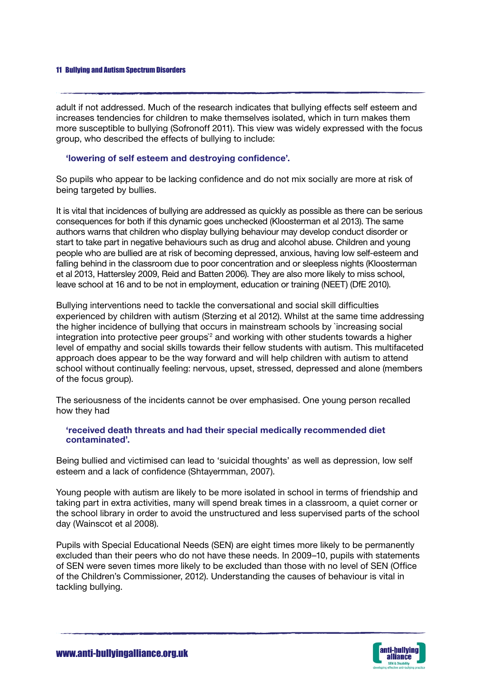adult if not addressed. Much of the research indicates that bullying effects self esteem and increases tendencies for children to make themselves isolated, which in turn makes them more susceptible to bullying (Sofronoff 2011). This view was widely expressed with the focus group, who described the effects of bullying to include:

### 'lowering of self esteem and destroying confidence'.

So pupils who appear to be lacking confidence and do not mix socially are more at risk of being targeted by bullies.

It is vital that incidences of bullying are addressed as quickly as possible as there can be serious consequences for both if this dynamic goes unchecked (Kloosterman et al 2013). The same authors warns that children who display bullying behaviour may develop conduct disorder or start to take part in negative behaviours such as drug and alcohol abuse. Children and young people who are bullied are at risk of becoming depressed, anxious, having low self-esteem and falling behind in the classroom due to poor concentration and or sleepless nights (Kloosterman et al 2013, Hattersley 2009, Reid and Batten 2006). They are also more likely to miss school, leave school at 16 and to be not in employment, education or training (NEET) (DfE 2010).

Bullying interventions need to tackle the conversational and social skill difficulties experienced by children with autism (Sterzing et al 2012). Whilst at the same time addressing the higher incidence of bullying that occurs in mainstream schools by `increasing social integration into protective peer groups<sup>2</sup> and working with other students towards a higher level of empathy and social skills towards their fellow students with autism. This multifaceted approach does appear to be the way forward and will help children with autism to attend school without continually feeling: nervous, upset, stressed, depressed and alone (members of the focus group).

The seriousness of the incidents cannot be over emphasised. One young person recalled how they had

### 'received death threats and had their special medically recommended diet contaminated'.

Being bullied and victimised can lead to 'suicidal thoughts' as well as depression, low self esteem and a lack of confidence (Shtayermman, 2007).

Young people with autism are likely to be more isolated in school in terms of friendship and taking part in extra activities, many will spend break times in a classroom, a quiet corner or the school library in order to avoid the unstructured and less supervised parts of the school day (Wainscot et al 2008).

Pupils with Special Educational Needs (SEN) are eight times more likely to be permanently excluded than their peers who do not have these needs. In 2009–10, pupils with statements of SEN were seven times more likely to be excluded than those with no level of SEN (Office of the Children's Commissioner, 2012). Understanding the causes of behaviour is vital in tackling bullying.

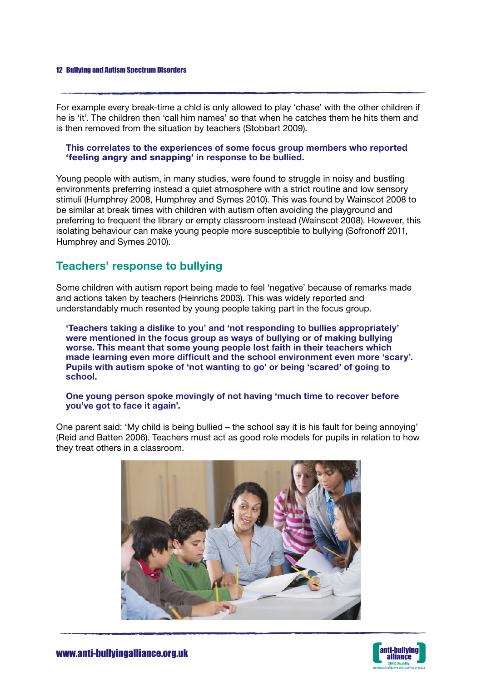For example every break-time a chld is only allowed to play 'chase' with the other children if he is 'it'. The children then 'call him names' so that when he catches them he hits them and is then removed from the situation by teachers (Stobbart 2009).

### This correlates to the experiences of some focus group members who reported 'feeling angry and snapping' in response to be bullied.

Young people with autism, in many studies, were found to struggle in noisy and bustling environments preferring instead a quiet atmosphere with a strict routine and low sensory stimuli (Humphrey 2008, Humphrey and Symes 2010). This was found by Wainscot 2008 to be similar at break times with children with autism often avoiding the playground and preferring to frequent the library or empty classroom instead (Wainscot 2008). However, this isolating behaviour can make young people more susceptible to bullying (Sofronoff 2011, Humphrey and Symes 2010).

# Teachers' response to bullying

Some children with autism report being made to feel 'negative' because of remarks made and actions taken by teachers (Heinrichs 2003). This was widely reported and understandably much resented by young people taking part in the focus group.

'Teachers taking a dislike to you' and 'not responding to bullies appropriately' were mentioned in the focus group as ways of bullying or of making bullying worse. This meant that some young people lost faith in their teachers which made learning even more difficult and the school environment even more 'scary'. Pupils with autism spoke of 'not wanting to go' or being 'scared' of going to school.

### One young person spoke movingly of not having 'much time to recover before you've got to face it again'.

One parent said: 'My child is being bullied – the school say it is his fault for being annoying' (Reid and Batten 2006). Teachers must act as good role models for pupils in relation to how they treat others in a classroom.



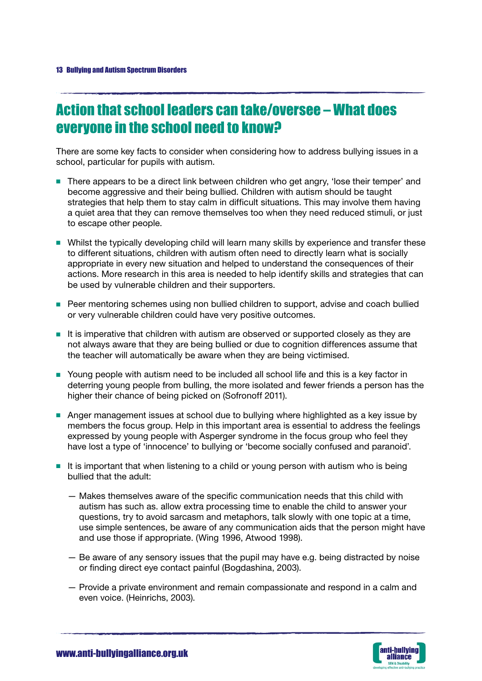# Action that school leaders can take/oversee – What does everyone in the school need to know?

There are some key facts to consider when considering how to address bullying issues in a school, particular for pupils with autism.

- There appears to be a direct link between children who get angry, 'lose their temper' and become aggressive and their being bullied. Children with autism should be taught strategies that help them to stay calm in difficult situations. This may involve them having a quiet area that they can remove themselves too when they need reduced stimuli, or just to escape other people.
- Whilst the typically developing child will learn many skills by experience and transfer these to different situations, children with autism often need to directly learn what is socially appropriate in every new situation and helped to understand the consequences of their actions. More research in this area is needed to help identify skills and strategies that can be used by vulnerable children and their supporters.
- Peer mentoring schemes using non bullied children to support, advise and coach bullied or very vulnerable children could have very positive outcomes.
- It is imperative that children with autism are observed or supported closely as they are not always aware that they are being bullied or due to cognition differences assume that the teacher will automatically be aware when they are being victimised.
- Young people with autism need to be included all school life and this is a key factor in deterring young people from bulling, the more isolated and fewer friends a person has the higher their chance of being picked on (Sofronoff 2011).
- Anger management issues at school due to bullying where highlighted as a key issue by members the focus group. Help in this important area is essential to address the feelings expressed by young people with Asperger syndrome in the focus group who feel they have lost a type of 'innocence' to bullying or 'become socially confused and paranoid'.
- It is important that when listening to a child or young person with autism who is being bullied that the adult:
	- Makes themselves aware of the specific communication needs that this child with autism has such as. allow extra processing time to enable the child to answer your questions, try to avoid sarcasm and metaphors, talk slowly with one topic at a time, use simple sentences, be aware of any communication aids that the person might have and use those if appropriate. (Wing 1996, Atwood 1998).
	- Be aware of any sensory issues that the pupil may have e.g. being distracted by noise or finding direct eye contact painful (Bogdashina, 2003).
	- Provide a private environment and remain compassionate and respond in a calm and even voice. (Heinrichs, 2003).

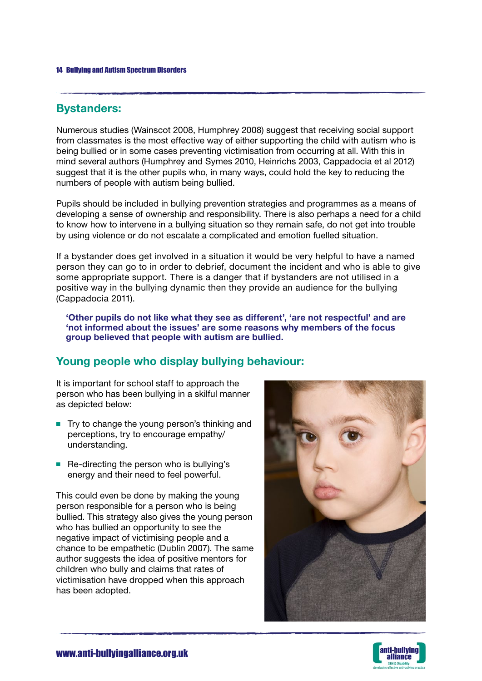# Bystanders:

Numerous studies (Wainscot 2008, Humphrey 2008) suggest that receiving social support from classmates is the most effective way of either supporting the child with autism who is being bullied or in some cases preventing victimisation from occurring at all. With this in mind several authors (Humphrey and Symes 2010, Heinrichs 2003, Cappadocia et al 2012) suggest that it is the other pupils who, in many ways, could hold the key to reducing the numbers of people with autism being bullied.

Pupils should be included in bullying prevention strategies and programmes as a means of developing a sense of ownership and responsibility. There is also perhaps a need for a child to know how to intervene in a bullying situation so they remain safe, do not get into trouble by using violence or do not escalate a complicated and emotion fuelled situation.

If a bystander does get involved in a situation it would be very helpful to have a named person they can go to in order to debrief, document the incident and who is able to give some appropriate support. There is a danger that if bystanders are not utilised in a positive way in the bullying dynamic then they provide an audience for the bullying (Cappadocia 2011).

'Other pupils do not like what they see as different', 'are not respectful' and are 'not informed about the issues' are some reasons why members of the focus group believed that people with autism are bullied.

# Young people who display bullying behaviour:

It is important for school staff to approach the person who has been bullying in a skilful manner as depicted below:

- Try to change the young person's thinking and perceptions, try to encourage empathy/ understanding.
- Re-directing the person who is bullying's energy and their need to feel powerful.

This could even be done by making the young person responsible for a person who is being bullied. This strategy also gives the young person who has bullied an opportunity to see the negative impact of victimising people and a chance to be empathetic (Dublin 2007). The same author suggests the idea of positive mentors for children who bully and claims that rates of victimisation have dropped when this approach has been adopted.



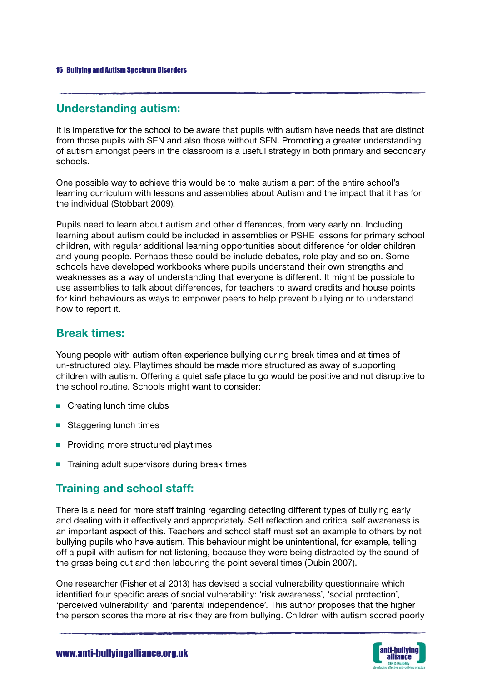# Understanding autism:

It is imperative for the school to be aware that pupils with autism have needs that are distinct from those pupils with SEN and also those without SEN. Promoting a greater understanding of autism amongst peers in the classroom is a useful strategy in both primary and secondary schools.

One possible way to achieve this would be to make autism a part of the entire school's learning curriculum with lessons and assemblies about Autism and the impact that it has for the individual (Stobbart 2009).

Pupils need to learn about autism and other differences, from very early on. Including learning about autism could be included in assemblies or PSHE lessons for primary school children, with regular additional learning opportunities about difference for older children and young people. Perhaps these could be include debates, role play and so on. Some schools have developed workbooks where pupils understand their own strengths and weaknesses as a way of understanding that everyone is different. It might be possible to use assemblies to talk about differences, for teachers to award credits and house points for kind behaviours as ways to empower peers to help prevent bullying or to understand how to report it.

# Break times:

Young people with autism often experience bullying during break times and at times of un-structured play. Playtimes should be made more structured as away of supporting children with autism. Offering a quiet safe place to go would be positive and not disruptive to the school routine. Schools might want to consider:

- Creating lunch time clubs
- Staggering lunch times
- Providing more structured playtimes
- Training adult supervisors during break times

# Training and school staff:

There is a need for more staff training regarding detecting different types of bullying early and dealing with it effectively and appropriately. Self reflection and critical self awareness is an important aspect of this. Teachers and school staff must set an example to others by not bullying pupils who have autism. This behaviour might be unintentional, for example, telling off a pupil with autism for not listening, because they were being distracted by the sound of the grass being cut and then labouring the point several times (Dubin 2007).

One researcher (Fisher et al 2013) has devised a social vulnerability questionnaire which identified four specific areas of social vulnerability: 'risk awareness', 'social protection', 'perceived vulnerability' and 'parental independence'. This author proposes that the higher the person scores the more at risk they are from bullying. Children with autism scored poorly

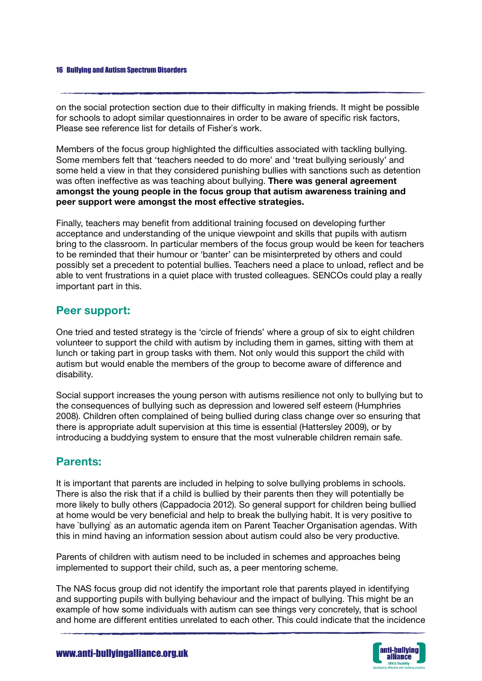on the social protection section due to their difficulty in making friends. It might be possible for schools to adopt similar questionnaires in order to be aware of specific risk factors, Please see reference list for details of Fisher`s work.

Members of the focus group highlighted the difficulties associated with tackling bullying. Some members felt that 'teachers needed to do more' and 'treat bullying seriously' and some held a view in that they considered punishing bullies with sanctions such as detention was often ineffective as was teaching about bullying. There was general agreement amongst the young people in the focus group that autism awareness training and peer support were amongst the most effective strategies.

Finally, teachers may benefit from additional training focused on developing further acceptance and understanding of the unique viewpoint and skills that pupils with autism bring to the classroom. In particular members of the focus group would be keen for teachers to be reminded that their humour or 'banter' can be misinterpreted by others and could possibly set a precedent to potential bullies. Teachers need a place to unload, reflect and be able to vent frustrations in a quiet place with trusted colleagues. SENCOs could play a really important part in this.

## Peer support:

One tried and tested strategy is the 'circle of friends' where a group of six to eight children volunteer to support the child with autism by including them in games, sitting with them at lunch or taking part in group tasks with them. Not only would this support the child with autism but would enable the members of the group to become aware of difference and disability.

Social support increases the young person with autisms resilience not only to bullying but to the consequences of bullying such as depression and lowered self esteem (Humphries 2008). Children often complained of being bullied during class change over so ensuring that there is appropriate adult supervision at this time is essential (Hattersley 2009), or by introducing a buddying system to ensure that the most vulnerable children remain safe.

## Parents:

It is important that parents are included in helping to solve bullying problems in schools. There is also the risk that if a child is bullied by their parents then they will potentially be more likely to bully others (Cappadocia 2012). So general support for children being bullied at home would be very beneficial and help to break the bullying habit. It is very positive to have `bullying` as an automatic agenda item on Parent Teacher Organisation agendas. With this in mind having an information session about autism could also be very productive.

Parents of children with autism need to be included in schemes and approaches being implemented to support their child, such as, a peer mentoring scheme.

The NAS focus group did not identify the important role that parents played in identifying and supporting pupils with bullying behaviour and the impact of bullying. This might be an example of how some individuals with autism can see things very concretely, that is school and home are different entities unrelated to each other. This could indicate that the incidence

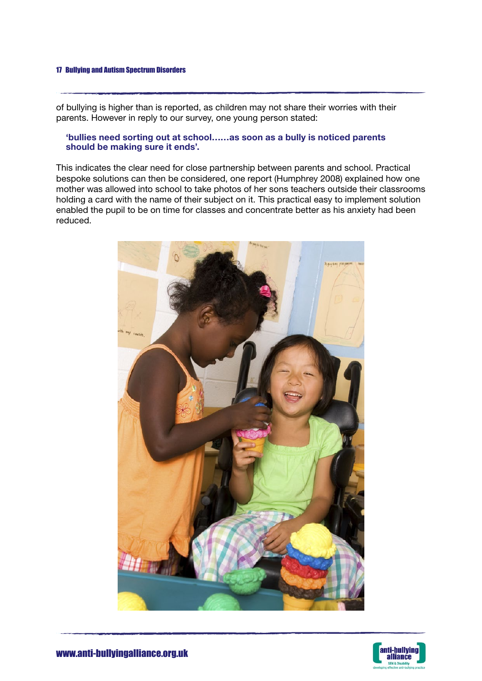of bullying is higher than is reported, as children may not share their worries with their parents. However in reply to our survey, one young person stated:

### 'bullies need sorting out at school……as soon as a bully is noticed parents should be making sure it ends'.

This indicates the clear need for close partnership between parents and school. Practical bespoke solutions can then be considered, one report (Humphrey 2008) explained how one mother was allowed into school to take photos of her sons teachers outside their classrooms holding a card with the name of their subject on it. This practical easy to implement solution enabled the pupil to be on time for classes and concentrate better as his anxiety had been reduced.



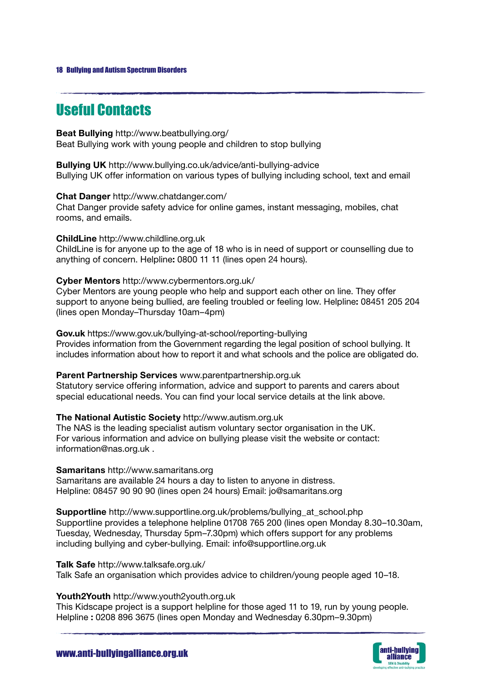# Useful Contacts

Beat Bullying http://www.beatbullying.org/ Beat Bullying work with young people and children to stop bullying

Bullying UK http://www.bullying.co.uk/advice/anti-bullying-advice Bullying UK offer information on various types of bullying including school, text and email

Chat Danger http://www.chatdanger.com/

Chat Danger provide safety advice for online games, instant messaging, mobiles, chat rooms, and emails.

ChildLine http://www.childline.org.uk ChildLine is for anyone up to the age of 18 who is in need of support or counselling due to anything of concern. Helpline: 0800 11 11 (lines open 24 hours).

### Cyber Mentors http://www.cybermentors.org.uk/

Cyber Mentors are young people who help and support each other on line. They offer support to anyone being bullied, are feeling troubled or feeling low. Helpline: 08451 205 204 (lines open Monday–Thursday 10am–4pm)

Gov.uk https://www.gov.uk/bullying-at-school/reporting-bullying Provides information from the Government regarding the legal position of school bullying. It includes information about how to report it and what schools and the police are obligated do.

Parent Partnership Services www.parentpartnership.org.uk

Statutory service offering information, advice and support to parents and carers about special educational needs. You can find your local service details at the link above.

The National Autistic Society http://www.autism.org.uk

The NAS is the leading specialist autism voluntary sector organisation in the UK. For various information and advice on bullying please visit the website or contact: information@nas.org.uk .

Samaritans http://www.samaritans.org

Samaritans are available 24 hours a day to listen to anyone in distress. Helpline: 08457 90 90 90 (lines open 24 hours) Email: jo@samaritans.org

Supportline http://www.supportline.org.uk/problems/bullying\_at\_school.php Supportline provides a telephone helpline 01708 765 200 (lines open Monday 8.30–10.30am, Tuesday, Wednesday, Thursday 5pm–7.30pm) which offers support for any problems including bullying and cyber-bullying. Email: info@supportline.org.uk

Talk Safe http://www.talksafe.org.uk/

Talk Safe an organisation which provides advice to children/young people aged 10–18.

### Youth2Youth http://www.youth2youth.org.uk

This Kidscape project is a support helpline for those aged 11 to 19, run by young people. Helpline : 0208 896 3675 (lines open Monday and Wednesday 6.30pm–9.30pm)

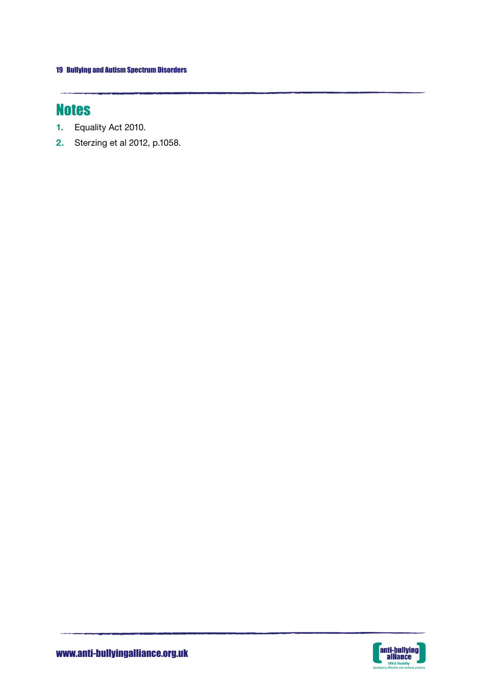# **Notes**

J.

- 1. Equality Act 2010.
- 2. Sterzing et al 2012, p.1058.

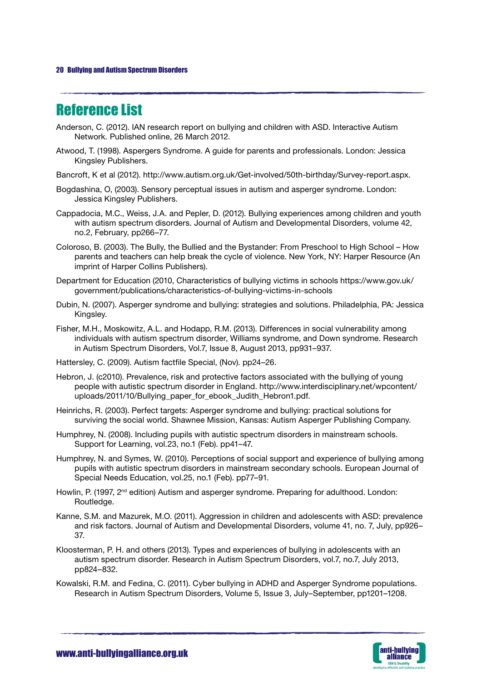# Reference List

- Anderson, C. (2012). IAN research report on bullying and children with ASD. Interactive Autism Network. Published online, 26 March 2012.
- Atwood, T. (1998). Aspergers Syndrome. A guide for parents and professionals. London: Jessica Kingsley Publishers.
- Bancroft, K et al (2012). http://www.autism.org.uk/Get-involved/50th-birthday/Survey-report.aspx.
- Bogdashina, O, (2003). Sensory perceptual issues in autism and asperger syndrome. London: Jessica Kingsley Publishers.
- Cappadocia, M.C., Weiss, J.A. and Pepler, D. (2012). Bullying experiences among children and youth with autism spectrum disorders. Journal of Autism and Developmental Disorders, volume 42, no.2, February, pp266–77.
- Coloroso, B. (2003). The Bully, the Bullied and the Bystander: From Preschool to High School How parents and teachers can help break the cycle of violence. New York, NY: Harper Resource (An imprint of Harper Collins Publishers).
- Department for Education (2010, Characteristics of bullying victims in schools https://www.gov.uk/ government/publications/characteristics-of-bullying-victims-in-schools
- Dubin, N. (2007). Asperger syndrome and bullying: strategies and solutions. Philadelphia, PA: Jessica Kingsley.
- Fisher, M.H., Moskowitz, A.L. and Hodapp, R.M. (2013). Differences in social vulnerability among individuals with autism spectrum disorder, Williams syndrome, and Down syndrome. Research in Autism Spectrum Disorders, Vol.7, Issue 8, August 2013, pp931–937.
- Hattersley, C. (2009). Autism factfile Special, (Nov). pp24–26.
- Hebron, J. (c2010). Prevalence, risk and protective factors associated with the bullying of young people with autistic spectrum disorder in England. http://www.interdisciplinary.net/wpcontent/ uploads/2011/10/Bullying\_paper\_for\_ebook\_Judith\_Hebron1.pdf.
- Heinrichs, R. (2003). Perfect targets: Asperger syndrome and bullying: practical solutions for surviving the social world. Shawnee Mission, Kansas: Autism Asperger Publishing Company.
- Humphrey, N. (2008). Including pupils with autistic spectrum disorders in mainstream schools. Support for Learning, vol.23, no.1 (Feb). pp41–47.
- Humphrey, N. and Symes, W. (2010). Perceptions of social support and experience of bullying among pupils with autistic spectrum disorders in mainstream secondary schools. European Journal of Special Needs Education, vol.25, no.1 (Feb). pp77–91.
- Howlin, P. (1997, 2<sup>nd</sup> edition) Autism and asperger syndrome. Preparing for adulthood. London: Routledge.
- Kanne, S.M. and Mazurek, M.O. (2011). Aggression in children and adolescents with ASD: prevalence and risk factors. Journal of Autism and Developmental Disorders, volume 41, no. 7, July, pp926– 37.
- Kloosterman, P. H. and others (2013). Types and experiences of bullying in adolescents with an autism spectrum disorder. Research in Autism Spectrum Disorders, vol.7, no.7, July 2013, pp824–832.
- Kowalski, R.M. and Fedina, C. (2011). Cyber bullying in ADHD and Asperger Syndrome populations. Research in Autism Spectrum Disorders, Volume 5, Issue 3, July–September, pp1201–1208.

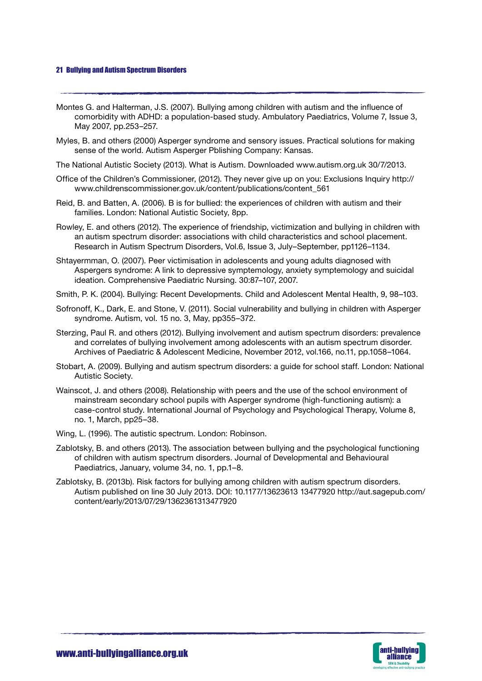Montes G. and Halterman, J.S. (2007). Bullying among children with autism and the influence of comorbidity with ADHD: a population-based study. Ambulatory Paediatrics, Volume 7, Issue 3, May 2007, pp.253–257.

- Myles, B. and others (2000) Asperger syndrome and sensory issues. Practical solutions for making sense of the world. Autism Asperger Pblishing Company: Kansas.
- The National Autistic Society (2013). What is Autism. Downloaded www.autism.org.uk 30/7/2013.
- Office of the Children's Commissioner, (2012). They never give up on you: Exclusions Inquiry http:// www.childrenscommissioner.gov.uk/content/publications/content\_561
- Reid, B. and Batten, A. (2006). B is for bullied: the experiences of children with autism and their families. London: National Autistic Society, 8pp.
- Rowley, E. and others (2012). The experience of friendship, victimization and bullying in children with an autism spectrum disorder: associations with child characteristics and school placement. Research in Autism Spectrum Disorders, Vol.6, Issue 3, July–September, pp1126–1134.
- Shtayermman, O. (2007). Peer victimisation in adolescents and young adults diagnosed with Aspergers syndrome: A link to depressive symptemology, anxiety symptemology and suicidal ideation. Comprehensive Paediatric Nursing. 30:87–107, 2007.
- Smith, P. K. (2004). Bullying: Recent Developments. Child and Adolescent Mental Health, 9, 98–103.
- Sofronoff, K., Dark, E. and Stone, V. (2011). Social vulnerability and bullying in children with Asperger syndrome. Autism, vol. 15 no. 3, May, pp355–372.
- Sterzing, Paul R. and others (2012). Bullying involvement and autism spectrum disorders: prevalence and correlates of bullying involvement among adolescents with an autism spectrum disorder. Archives of Paediatric & Adolescent Medicine, November 2012, vol.166, no.11, pp.1058–1064.
- Stobart, A. (2009). Bullying and autism spectrum disorders: a guide for school staff. London: National Autistic Society.
- Wainscot, J. and others (2008). Relationship with peers and the use of the school environment of mainstream secondary school pupils with Asperger syndrome (high-functioning autism): a case-control study. International Journal of Psychology and Psychological Therapy, Volume 8, no. 1, March, pp25–38.
- Wing, L. (1996). The autistic spectrum. London: Robinson.
- Zablotsky, B. and others (2013). The association between bullying and the psychological functioning of children with autism spectrum disorders. Journal of Developmental and Behavioural Paediatrics, January, volume 34, no. 1, pp.1–8.
- Zablotsky, B. (2013b). Risk factors for bullying among children with autism spectrum disorders. Autism published on line 30 July 2013. DOI: 10.1177/13623613 13477920 http://aut.sagepub.com/ content/early/2013/07/29/1362361313477920